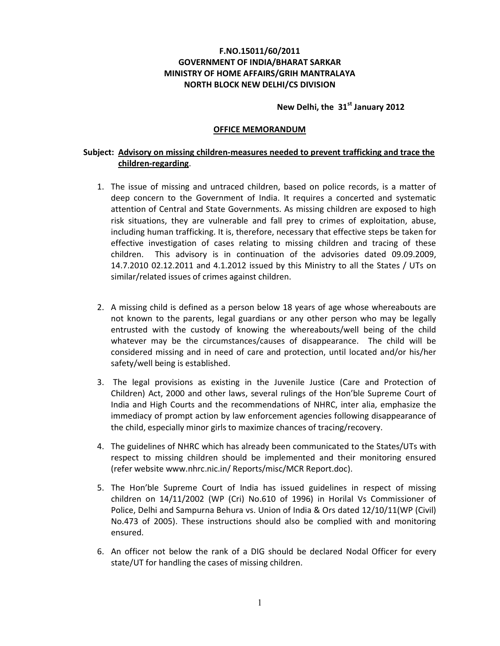## **F.NO.15011/60/2011 GOVERNMENT OF INDIA/BHARAT SARKAR MINISTRY OF HOME AFFAIRS/GRIH MANTRALAYA NORTH BLOCK NEW DELHI/CS DIVISION**

## **New Delhi, the 31st January 2012**

## **OFFICE MEMORANDUM**

## **Subject: Advisory on missing children-measures needed to prevent trafficking and trace the children-regarding**.

- 1. The issue of missing and untraced children, based on police records, is a matter of deep concern to the Government of India. It requires a concerted and systematic attention of Central and State Governments. As missing children are exposed to high risk situations, they are vulnerable and fall prey to crimes of exploitation, abuse, including human trafficking. It is, therefore, necessary that effective steps be taken for effective investigation of cases relating to missing children and tracing of these children. This advisory is in continuation of the advisories dated 09.09.2009, 14.7.2010 02.12.2011 and 4.1.2012 issued by this Ministry to all the States / UTs on similar/related issues of crimes against children.
- 2. A missing child is defined as a person below 18 years of age whose whereabouts are not known to the parents, legal guardians or any other person who may be legally entrusted with the custody of knowing the whereabouts/well being of the child whatever may be the circumstances/causes of disappearance. The child will be considered missing and in need of care and protection, until located and/or his/her safety/well being is established.
- 3. The legal provisions as existing in the Juvenile Justice (Care and Protection of Children) Act, 2000 and other laws, several rulings of the Hon'ble Supreme Court of India and High Courts and the recommendations of NHRC, inter alia, emphasize the immediacy of prompt action by law enforcement agencies following disappearance of the child, especially minor girls to maximize chances of tracing/recovery.
- 4. The guidelines of NHRC which has already been communicated to the States/UTs with respect to missing children should be implemented and their monitoring ensured (refer website www.nhrc.nic.in/ Reports/misc/MCR Report.doc).
- 5. The Hon'ble Supreme Court of India has issued guidelines in respect of missing children on 14/11/2002 (WP (Cri) No.610 of 1996) in Horilal Vs Commissioner of Police, Delhi and Sampurna Behura vs. Union of India & Ors dated 12/10/11(WP (Civil) No.473 of 2005). These instructions should also be complied with and monitoring ensured.
- 6. An officer not below the rank of a DIG should be declared Nodal Officer for every state/UT for handling the cases of missing children.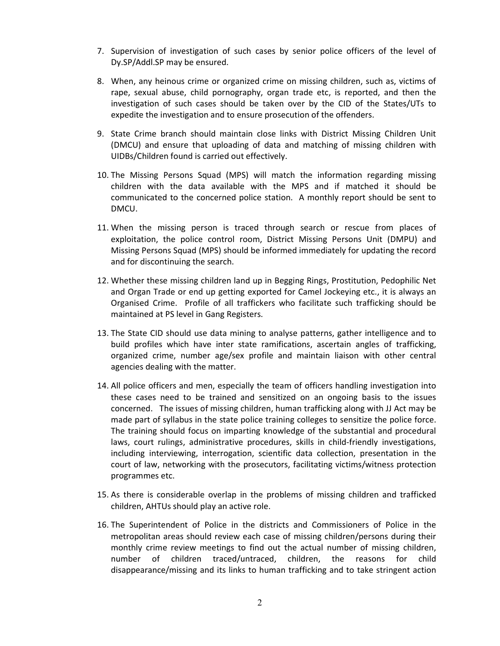- 7. Supervision of investigation of such cases by senior police officers of the level of Dy.SP/Addl.SP may be ensured.
- 8. When, any heinous crime or organized crime on missing children, such as, victims of rape, sexual abuse, child pornography, organ trade etc, is reported, and then the investigation of such cases should be taken over by the CID of the States/UTs to expedite the investigation and to ensure prosecution of the offenders.
- 9. State Crime branch should maintain close links with District Missing Children Unit (DMCU) and ensure that uploading of data and matching of missing children with UIDBs/Children found is carried out effectively.
- 10. The Missing Persons Squad (MPS) will match the information regarding missing children with the data available with the MPS and if matched it should be communicated to the concerned police station. A monthly report should be sent to DMCU.
- 11. When the missing person is traced through search or rescue from places of exploitation, the police control room, District Missing Persons Unit (DMPU) and Missing Persons Squad (MPS) should be informed immediately for updating the record and for discontinuing the search.
- 12. Whether these missing children land up in Begging Rings, Prostitution, Pedophilic Net and Organ Trade or end up getting exported for Camel Jockeying etc., it is always an Organised Crime. Profile of all traffickers who facilitate such trafficking should be maintained at PS level in Gang Registers.
- 13. The State CID should use data mining to analyse patterns, gather intelligence and to build profiles which have inter state ramifications, ascertain angles of trafficking, organized crime, number age/sex profile and maintain liaison with other central agencies dealing with the matter.
- 14. All police officers and men, especially the team of officers handling investigation into these cases need to be trained and sensitized on an ongoing basis to the issues concerned. The issues of missing children, human trafficking along with JJ Act may be made part of syllabus in the state police training colleges to sensitize the police force. The training should focus on imparting knowledge of the substantial and procedural laws, court rulings, administrative procedures, skills in child-friendly investigations, including interviewing, interrogation, scientific data collection, presentation in the court of law, networking with the prosecutors, facilitating victims/witness protection programmes etc.
- 15. As there is considerable overlap in the problems of missing children and trafficked children, AHTUs should play an active role.
- 16. The Superintendent of Police in the districts and Commissioners of Police in the metropolitan areas should review each case of missing children/persons during their monthly crime review meetings to find out the actual number of missing children, number of children traced/untraced, children, the reasons for child disappearance/missing and its links to human trafficking and to take stringent action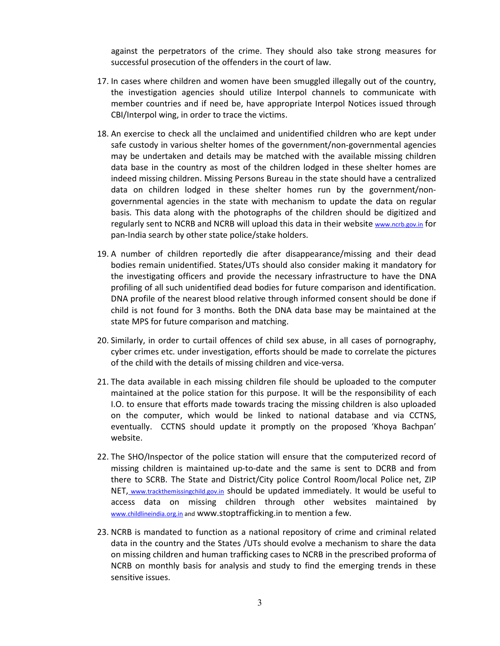against the perpetrators of the crime. They should also take strong measures for successful prosecution of the offenders in the court of law.

- 17. In cases where children and women have been smuggled illegally out of the country, the investigation agencies should utilize Interpol channels to communicate with member countries and if need be, have appropriate Interpol Notices issued through CBI/Interpol wing, in order to trace the victims.
- 18. An exercise to check all the unclaimed and unidentified children who are kept under safe custody in various shelter homes of the government/non-governmental agencies may be undertaken and details may be matched with the available missing children data base in the country as most of the children lodged in these shelter homes are indeed missing children. Missing Persons Bureau in the state should have a centralized data on children lodged in these shelter homes run by the government/nongovernmental agencies in the state with mechanism to update the data on regular basis. This data along with the photographs of the children should be digitized and regularly sent to NCRB and NCRB will upload this data in their website www.ncrb.gov.in for pan-India search by other state police/stake holders.
- 19. A number of children reportedly die after disappearance/missing and their dead bodies remain unidentified. States/UTs should also consider making it mandatory for the investigating officers and provide the necessary infrastructure to have the DNA profiling of all such unidentified dead bodies for future comparison and identification. DNA profile of the nearest blood relative through informed consent should be done if child is not found for 3 months. Both the DNA data base may be maintained at the state MPS for future comparison and matching.
- 20. Similarly, in order to curtail offences of child sex abuse, in all cases of pornography, cyber crimes etc. under investigation, efforts should be made to correlate the pictures of the child with the details of missing children and vice-versa.
- 21. The data available in each missing children file should be uploaded to the computer maintained at the police station for this purpose. It will be the responsibility of each I.O. to ensure that efforts made towards tracing the missing children is also uploaded on the computer, which would be linked to national database and via CCTNS, eventually. CCTNS should update it promptly on the proposed 'Khoya Bachpan' website.
- 22. The SHO/Inspector of the police station will ensure that the computerized record of missing children is maintained up-to-date and the same is sent to DCRB and from there to SCRB. The State and District/City police Control Room/local Police net, ZIP NET, www.trackthemissingchild.gov.in should be updated immediately. It would be useful to access data on missing children through other websites maintained by www.childlineindia.org.in and www.stoptrafficking.in to mention a few.
- 23. NCRB is mandated to function as a national repository of crime and criminal related data in the country and the States /UTs should evolve a mechanism to share the data on missing children and human trafficking cases to NCRB in the prescribed proforma of NCRB on monthly basis for analysis and study to find the emerging trends in these sensitive issues.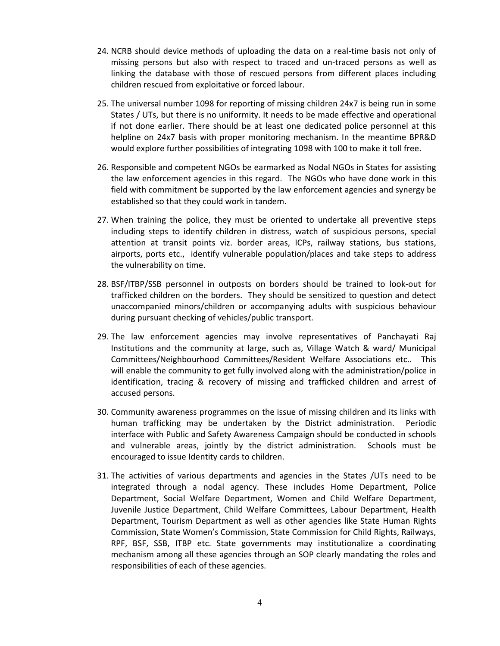- 24. NCRB should device methods of uploading the data on a real-time basis not only of missing persons but also with respect to traced and un-traced persons as well as linking the database with those of rescued persons from different places including children rescued from exploitative or forced labour.
- 25. The universal number 1098 for reporting of missing children 24x7 is being run in some States / UTs, but there is no uniformity. It needs to be made effective and operational if not done earlier. There should be at least one dedicated police personnel at this helpline on 24x7 basis with proper monitoring mechanism. In the meantime BPR&D would explore further possibilities of integrating 1098 with 100 to make it toll free.
- 26. Responsible and competent NGOs be earmarked as Nodal NGOs in States for assisting the law enforcement agencies in this regard. The NGOs who have done work in this field with commitment be supported by the law enforcement agencies and synergy be established so that they could work in tandem.
- 27. When training the police, they must be oriented to undertake all preventive steps including steps to identify children in distress, watch of suspicious persons, special attention at transit points viz. border areas, ICPs, railway stations, bus stations, airports, ports etc., identify vulnerable population/places and take steps to address the vulnerability on time.
- 28. BSF/ITBP/SSB personnel in outposts on borders should be trained to look-out for trafficked children on the borders. They should be sensitized to question and detect unaccompanied minors/children or accompanying adults with suspicious behaviour during pursuant checking of vehicles/public transport.
- 29. The law enforcement agencies may involve representatives of Panchayati Raj Institutions and the community at large, such as, Village Watch & ward/ Municipal Committees/Neighbourhood Committees/Resident Welfare Associations etc.. This will enable the community to get fully involved along with the administration/police in identification, tracing & recovery of missing and trafficked children and arrest of accused persons.
- 30. Community awareness programmes on the issue of missing children and its links with human trafficking may be undertaken by the District administration. Periodic interface with Public and Safety Awareness Campaign should be conducted in schools and vulnerable areas, jointly by the district administration. Schools must be encouraged to issue Identity cards to children.
- 31. The activities of various departments and agencies in the States /UTs need to be integrated through a nodal agency. These includes Home Department, Police Department, Social Welfare Department, Women and Child Welfare Department, Juvenile Justice Department, Child Welfare Committees, Labour Department, Health Department, Tourism Department as well as other agencies like State Human Rights Commission, State Women's Commission, State Commission for Child Rights, Railways, RPF, BSF, SSB, ITBP etc. State governments may institutionalize a coordinating mechanism among all these agencies through an SOP clearly mandating the roles and responsibilities of each of these agencies.